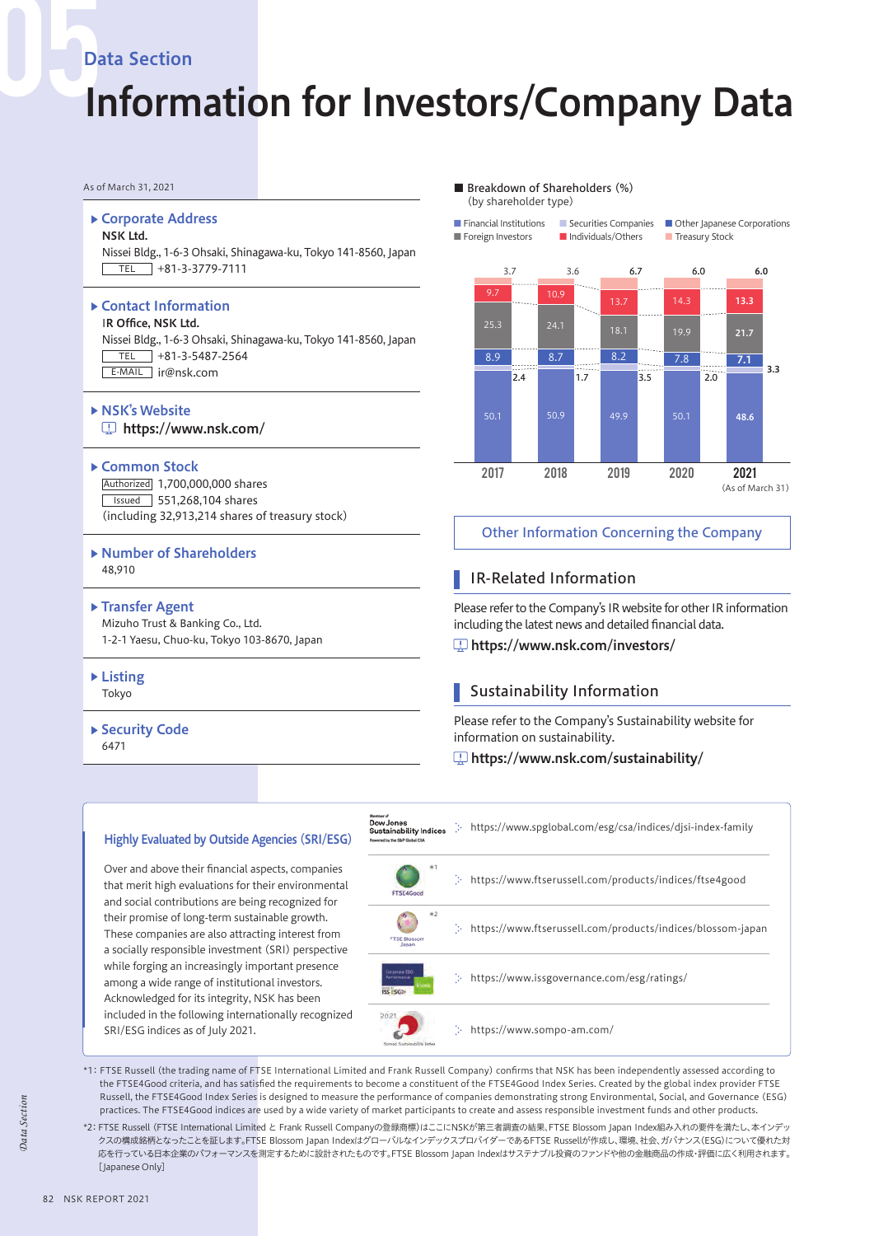# Data Section

# Information for Investors/Company Data

#### Corporate Address

#### NSK Ltd.

Nissei Bldg., 1-6-3 Ohsaki, Shinagawa-ku, Tokyo 141-8560, Japan  $TEL$  +81-3-3779-7111

#### ▶ Contact Information

IR Office, NSK Ltd. Nissei Bldg., 1-6-3 Ohsaki, Shinagawa-ku, Tokyo 141-8560, Japan  $TEL$  +81-3-5487-2564 E-MAIL ir@nsk.com

**NSK's Website** https://www.nsk.com/

#### ▶ Common Stock

Authorized 1,700,000,000 shares Issued 551,268,104 shares (including 32,913,214 shares of treasury stock)

- Number of Shareholders 48,910
- ▶ Transfer Agent Mizuho Trust & Banking Co., Ltd.

1-2-1 Yaesu, Chuo-ku, Tokyo 103-8670, Japan

- Listing Tokyo
- ▶ Security Code 6471

#### As of March 31, 2021 ■ Breakdown of Shareholders (%) (by shareholder type)

■ Financial Institutions ■ Securities Companies ■ Other Iapanese Corporations ■ Foreign Investors ■Individuals/Others ■ Treasury Stock





## Other Information Concerning the Company

# IR-Related Information

Please refer to the Company's IR website for other IR information including the latest news and detailed financial data.

https://www.nsk.com/investors/

# Sustainability Information

Please refer to the Company's Sustainability website for information on sustainability.

## https://www.nsk.com/sustainability/



\*1: FTSE Russell (the trading name of FTSE International Limited and Frank Russell Company) confirms that NSK has been independently assessed according to the FTSE4Good criteria, and has satisfied the requirements to become a constituent of the FTSE4Good Index Series. Created by the global index provider FTSE Russell, the FTSE4Good Index Series is designed to measure the performance of companies demonstrating strong Environmental, Social, and Governance (ESG) practices. The FTSE4Good indices are used by a wide variety of market participants to create and assess responsible investment funds and other products.

\*2: FTSE Russell (FTSE International Limited と Frank Russell Companyの登録商標)はここにNSKが第三者調査の結果、FTSE Blossom Japan Index組み入れの要件を満たし、本インデッ クスの構成銘柄となったことを証します。FTSE Blossom Japan IndexはグローバルなインデックスプロバイダーであるFTSE Russellが作成し、環境、社会、ガバナンス(ESG)について優れた対 応を行っている日本企業のパフォーマンスを測定するために設計されたものです。FTSE Blossom Japan Indexはサステナブル投資のファンドや他の金融商品の作成・評価に広く利用されます。 [Japanese Only]